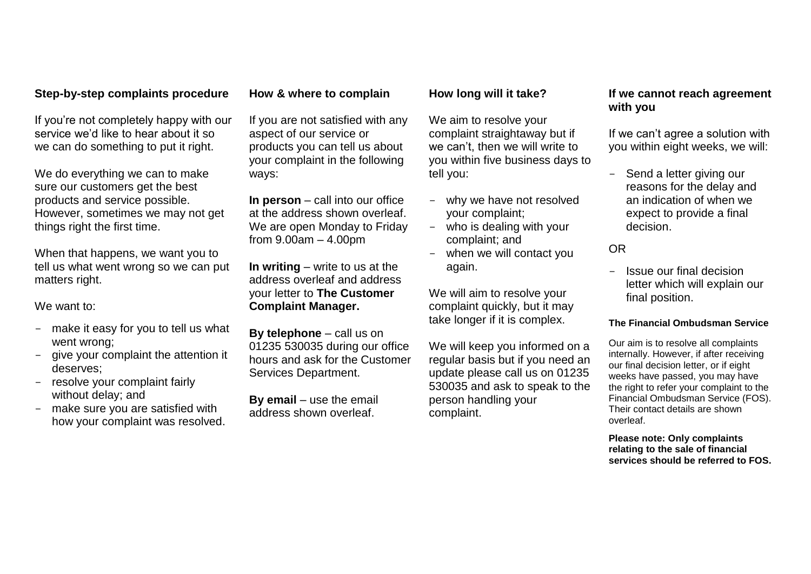# **Step-by-step complaints procedure**

If you're not completely happy with our service we'd like to hear about it so we can do something to put it right.

We do everything we can to make sure our customers get the best products and service possible. However, sometimes we may not get things right the first time.

When that happens, we want you to tell us what went wrong so we can put matters right.

We want to:

- make it easy for you to tell us what went wrong;
- give your complaint the attention it deserves;
- resolve your complaint fairly without delay; and
- make sure you are satisfied with how your complaint was resolved.

# **How & where to complain**

If you are not satisfied with any aspect of our service or products you can tell us about your complaint in the following ways:

**In person** – call into our office at the address shown overleaf. We are open Monday to Friday from 9.00am – 4.00pm

**In writing** – write to us at the address overleaf and address your letter to **The Customer Complaint Manager.**

**By telephone** – call us on 01235 530035 during our office hours and ask for the Customer Services Department.

**By email** – use the email address shown overleaf.

# **How long will it take?**

We aim to resolve your complaint straightaway but if we can't, then we will write to you within five business days to tell you:

- why we have not resolved your complaint;
- who is dealing with your complaint; and
- when we will contact you again.

We will aim to resolve your complaint quickly, but it may take longer if it is complex.

We will keep you informed on a regular basis but if you need an update please call us on 01235 530035 and ask to speak to the person handling your complaint.

# **If we cannot reach agreement with you**

If we can't agree a solution with you within eight weeks, we will:

- Send a letter giving our reasons for the delay and an indication of when we expect to provide a final decision.

# OR

- Issue our final decision letter which will explain our final position.

### **The Financial Ombudsman Service**

Our aim is to resolve all complaints internally. However, if after receiving our final decision letter, or if eight weeks have passed, you may have the right to refer your complaint to the Financial Ombudsman Service (FOS). Their contact details are shown overleaf.

**Please note: Only complaints relating to the sale of financial services should be referred to FOS.**